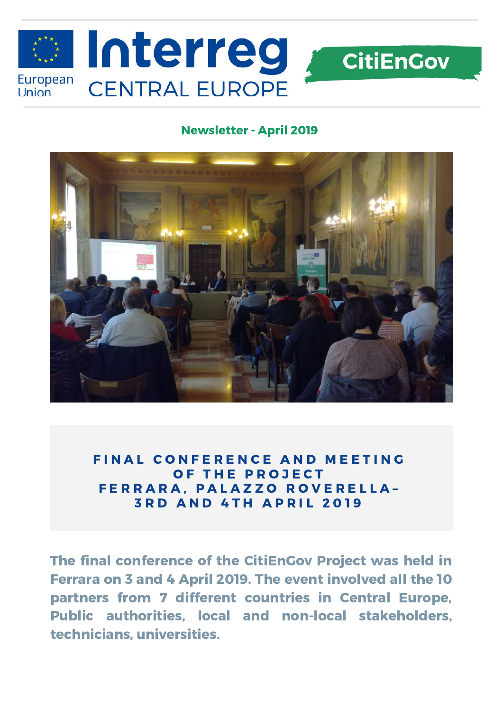

## Newsletter - April 2019



FINAL CONFERENCE AND MEETING OF THE PROJECT FERRARA, PALAZZO ROVERELLA-**3 R D A N D 4 T H A P R I L 2 0 1 9** 

The final conference of the CitiEnGov Project was held in Ferrara on 3 and 4 April 2019. The event involved all the 10 partners from 7 different countries in Central Europe, Public authorities, local and non-local stakeholders, technicians, universities.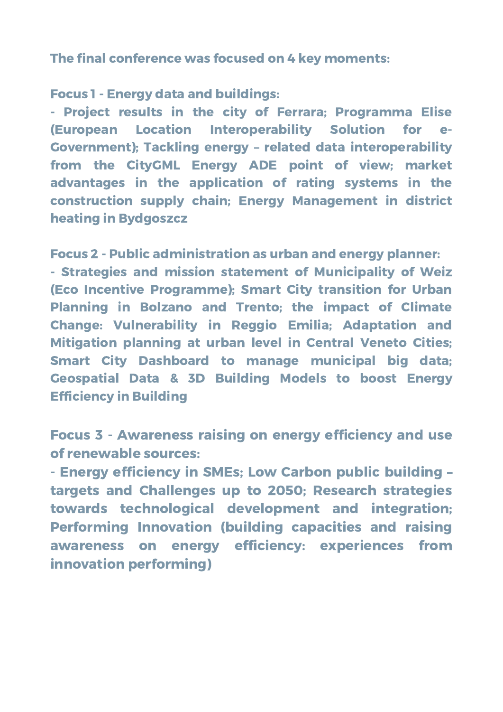The final conference was focused on 4 key moments:

Focus 1 - Energy data and buildings:

- Project results in the city of Ferrara; Programma Elise (European Location Interoperability Solution for e-Government); Tackling energy – related data interoperability from the CityGML Energy ADE point of view; market advantages in the application of rating systems in the construction supply chain; Energy Management in district heating in Bydgoszcz

Focus 2 - Public administration as urban and energy planner:

- Strategies and mission statement of Municipality of Weiz (Eco Incentive Programme); Smart City transition for Urban Planning in Bolzano and Trento; the impact of Climate Change: Vulnerability in Reggio Emilia; Adaptation and Mitigation planning at urban level in Central Veneto Cities; Smart City Dashboard to manage municipal big data; Geospatial Data & 3D Building Models to boost Energy Efficiency in Building

Focus 3 - Awareness raising on energy efficiency and use of renewable sources:

- Energy efficiency in SMEs; Low Carbon public building – targets and Challenges up to 2050; Research strategies towards technological development and integration; Performing Innovation (building capacities and raising awareness on energy efficiency: experiences from innovation performing)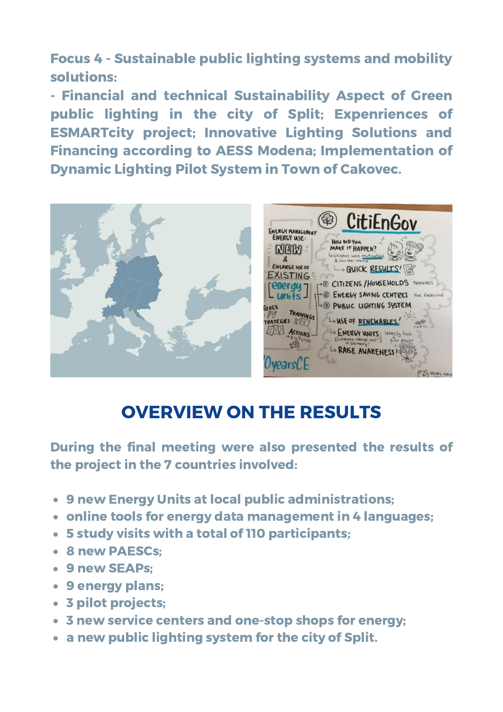Focus 4 - Sustainable public lighting systems and mobility solutions:

- Financial and technical Sustainability Aspect of Green public lighting in the city of Split; Expenriences of ESMARTcity project; Innovative Lighting Solutions and Financing according to AESS Modena; Implementation of Dynamic Lighting Pilot System in Town of Cakovec.



## OVERVIEW ON THE RESULTS

During the final meeting were also presented the results of the project in the 7 countries involved:

- 9 new Energy Units at local public administrations;
- online tools for energy data management in 4 languages;
- 5 study visits with a total of 110 participants;
- 8 new PAESCs;
- 9 new SEAPs:
- 9 energy plans;
- 3 pilot projects;
- 3 new service centers and one-stop shops for energy;
- a new public lighting system for the city of Split.